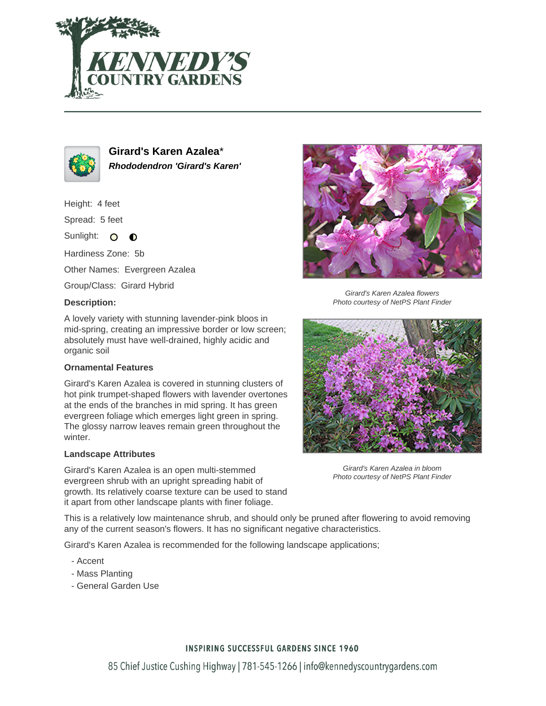



**Girard's Karen Azalea**\* **Rhododendron 'Girard's Karen'**

Height: 4 feet

Spread: 5 feet

Sunlight: O  $\bullet$ 

Hardiness Zone: 5b

Other Names: Evergreen Azalea

Group/Class: Girard Hybrid

#### **Description:**



### **Ornamental Features**

Girard's Karen Azalea is covered in stunning clusters of hot pink trumpet-shaped flowers with lavender overtones at the ends of the branches in mid spring. It has green evergreen foliage which emerges light green in spring. The glossy narrow leaves remain green throughout the winter.

### **Landscape Attributes**

Girard's Karen Azalea is an open multi-stemmed evergreen shrub with an upright spreading habit of growth. Its relatively coarse texture can be used to stand it apart from other landscape plants with finer foliage.



Girard's Karen Azalea flowers Photo courtesy of NetPS Plant Finder



Girard's Karen Azalea in bloom Photo courtesy of NetPS Plant Finder

This is a relatively low maintenance shrub, and should only be pruned after flowering to avoid removing any of the current season's flowers. It has no significant negative characteristics.

Girard's Karen Azalea is recommended for the following landscape applications;

- Accent
- Mass Planting
- General Garden Use

## **INSPIRING SUCCESSFUL GARDENS SINCE 1960**

85 Chief Justice Cushing Highway | 781-545-1266 | info@kennedyscountrygardens.com